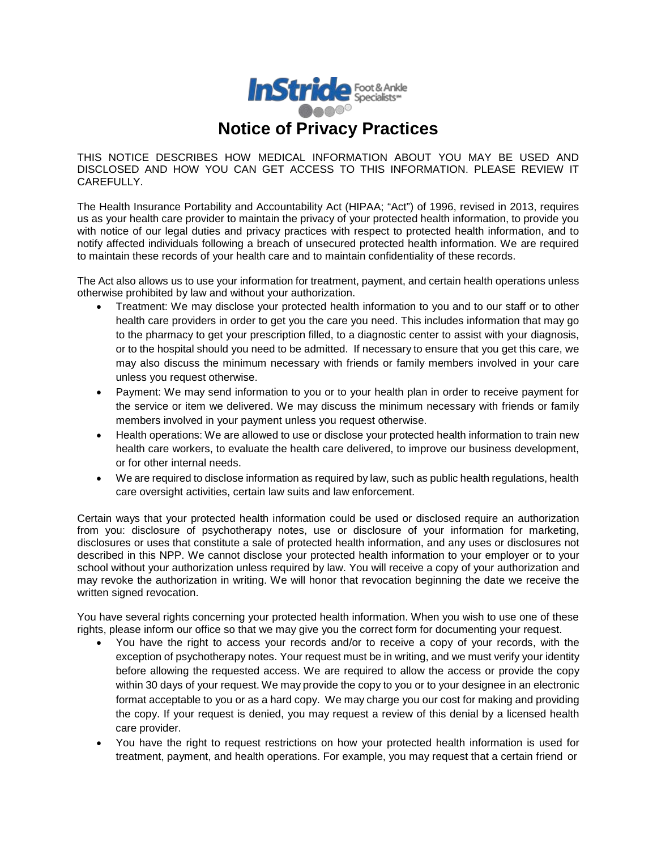

## **Notice of Privacy Practices**

THIS NOTICE DESCRIBES HOW MEDICAL INFORMATION ABOUT YOU MAY BE USED AND DISCLOSED AND HOW YOU CAN GET ACCESS TO THIS INFORMATION. PLEASE REVIEW IT CAREFULLY.

The Health Insurance Portability and Accountability Act (HIPAA; "Act") of 1996, revised in 2013, requires us as your health care provider to maintain the privacy of your protected health information, to provide you with notice of our legal duties and privacy practices with respect to protected health information, and to notify affected individuals following a breach of unsecured protected health information. We are required to maintain these records of your health care and to maintain confidentiality of these records.

The Act also allows us to use your information for treatment, payment, and certain health operations unless otherwise prohibited by law and without your authorization.

- Treatment: We may disclose your protected health information to you and to our staff or to other health care providers in order to get you the care you need. This includes information that may go to the pharmacy to get your prescription filled, to a diagnostic center to assist with your diagnosis, or to the hospital should you need to be admitted. If necessary to ensure that you get this care, we may also discuss the minimum necessary with friends or family members involved in your care unless you request otherwise.
- Payment: We may send information to you or to your health plan in order to receive payment for the service or item we delivered. We may discuss the minimum necessary with friends or family members involved in your payment unless you request otherwise.
- Health operations: We are allowed to use or disclose your protected health information to train new health care workers, to evaluate the health care delivered, to improve our business development, or for other internal needs.
- We are required to disclose information as required by law, such as public health regulations, health care oversight activities, certain law suits and law enforcement.

Certain ways that your protected health information could be used or disclosed require an authorization from you: disclosure of psychotherapy notes, use or disclosure of your information for marketing, disclosures or uses that constitute a sale of protected health information, and any uses or disclosures not described in this NPP. We cannot disclose your protected health information to your employer or to your school without your authorization unless required by law. You will receive a copy of your authorization and may revoke the authorization in writing. We will honor that revocation beginning the date we receive the written signed revocation.

You have several rights concerning your protected health information. When you wish to use one of these rights, please inform our office so that we may give you the correct form for documenting your request.

- You have the right to access your records and/or to receive a copy of your records, with the exception of psychotherapy notes. Your request must be in writing, and we must verify your identity before allowing the requested access. We are required to allow the access or provide the copy within 30 days of your request. We may provide the copy to you or to your designee in an electronic format acceptable to you or as a hard copy. We may charge you our cost for making and providing the copy. If your request is denied, you may request a review of this denial by a licensed health care provider.
- You have the right to request restrictions on how your protected health information is used for treatment, payment, and health operations. For example, you may request that a certain friend or